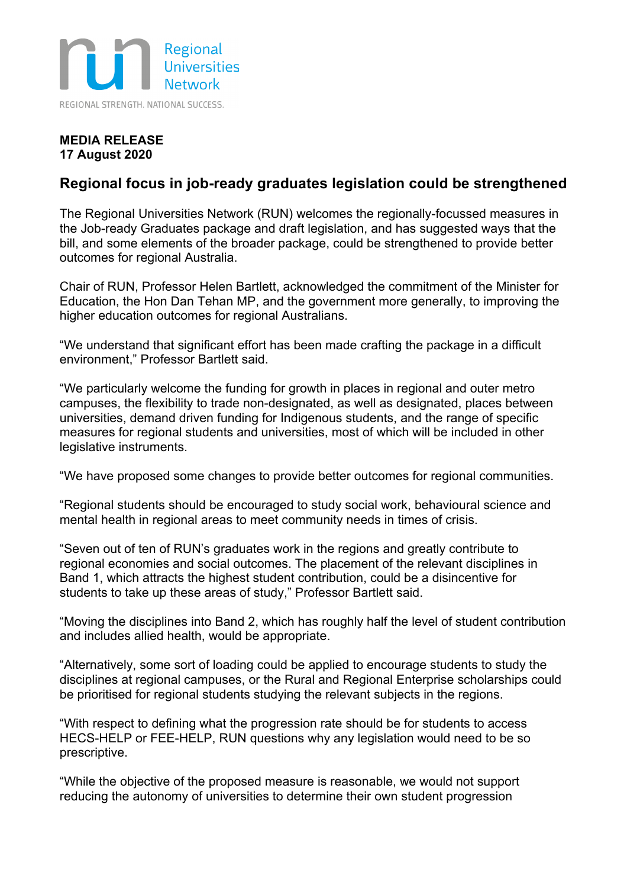

## **MEDIA RELEASE 17 August 2020**

## **Regional focus in job-ready graduates legislation could be strengthened**

The Regional Universities Network (RUN) welcomes the regionally-focussed measures in the Job-ready Graduates package and draft legislation, and has suggested ways that the bill, and some elements of the broader package, could be strengthened to provide better outcomes for regional Australia.

Chair of RUN, Professor Helen Bartlett, acknowledged the commitment of the Minister for Education, the Hon Dan Tehan MP, and the government more generally, to improving the higher education outcomes for regional Australians.

"We understand that significant effort has been made crafting the package in a difficult environment," Professor Bartlett said.

"We particularly welcome the funding for growth in places in regional and outer metro campuses, the flexibility to trade non-designated, as well as designated, places between universities, demand driven funding for Indigenous students, and the range of specific measures for regional students and universities, most of which will be included in other legislative instruments.

"We have proposed some changes to provide better outcomes for regional communities.

"Regional students should be encouraged to study social work, behavioural science and mental health in regional areas to meet community needs in times of crisis.

"Seven out of ten of RUN's graduates work in the regions and greatly contribute to regional economies and social outcomes. The placement of the relevant disciplines in Band 1, which attracts the highest student contribution, could be a disincentive for students to take up these areas of study," Professor Bartlett said.

"Moving the disciplines into Band 2, which has roughly half the level of student contribution and includes allied health, would be appropriate.

"Alternatively, some sort of loading could be applied to encourage students to study the disciplines at regional campuses, or the Rural and Regional Enterprise scholarships could be prioritised for regional students studying the relevant subjects in the regions.

"With respect to defining what the progression rate should be for students to access HECS-HELP or FEE-HELP, RUN questions why any legislation would need to be so prescriptive.

"While the objective of the proposed measure is reasonable, we would not support reducing the autonomy of universities to determine their own student progression